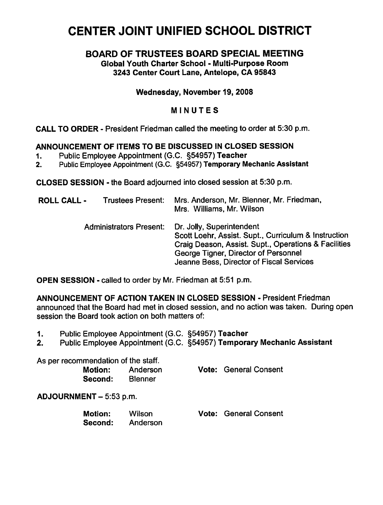# CENTER JOINT UNIFIED SCHOOL DISTRICT

## BOARD OF TRUSTEES BOARD SPECIAL MEETING

Global Youth Charter School - Multi-Purpose Room 3243 Center Court Lane, Antelope, CA 95843

#### Wednesday, November 19, 2008

### MINUTES

CALL TO ORDER - President Friedman called the meeting to order at 5:30 p.m.

#### ANNOUNCEMENT OF ITEMS TO BE DISCUSSED IN CLOSED SESSION

- 1. Public Employee Appointment (G.C. §54957) Teacher
- 2. Public Employee Appointment (G.C. §54957) Temporary Mechanic Assistant

CLOSED SESSION - the Board adjourned into closed session at 5:30 p.m.

| <b>ROLL CALL -</b>             | <b>Trustees Present:</b> | Mrs. Anderson, Mr. Blenner, Mr. Friedman,<br>Mrs. Williams, Mr. Wilson                                                                                                                                                        |  |
|--------------------------------|--------------------------|-------------------------------------------------------------------------------------------------------------------------------------------------------------------------------------------------------------------------------|--|
| <b>Administrators Present:</b> |                          | Dr. Jolly, Superintendent<br>Scott Loehr, Assist. Supt., Curriculum & Instruction<br>Craig Deason, Assist. Supt., Operations & Facilities<br>George Tigner, Director of Personnel<br>Jeanne Bess, Director of Fiscal Services |  |

OPEN SESSION - called to order by Mr. Friedman at 5:51 p.m.

ANNOUNCEMENT OF ACTION TAKEN IN CLOSED SESSION - President Friedman announced that the Board had met in closed session, and no action was taken. During open session the Board took action on both matters of:

- 1. Public Employee Appointment (G.C. §54957) Teacher
- 2. Public Employee Appointment (G.C. §54957) Temporary Mechanic Assistant

|                         | As per recommendation of the staff.<br><b>Motion:</b><br>Second: | Anderson<br><b>Blenner</b> |  | <b>Vote: General Consent</b> |  |
|-------------------------|------------------------------------------------------------------|----------------------------|--|------------------------------|--|
| ADJOURNMENT - 5:53 p.m. |                                                                  |                            |  |                              |  |
|                         | <b>Motion:</b><br>Second:                                        | Wilson<br>Anderson         |  | <b>Vote: General Consent</b> |  |